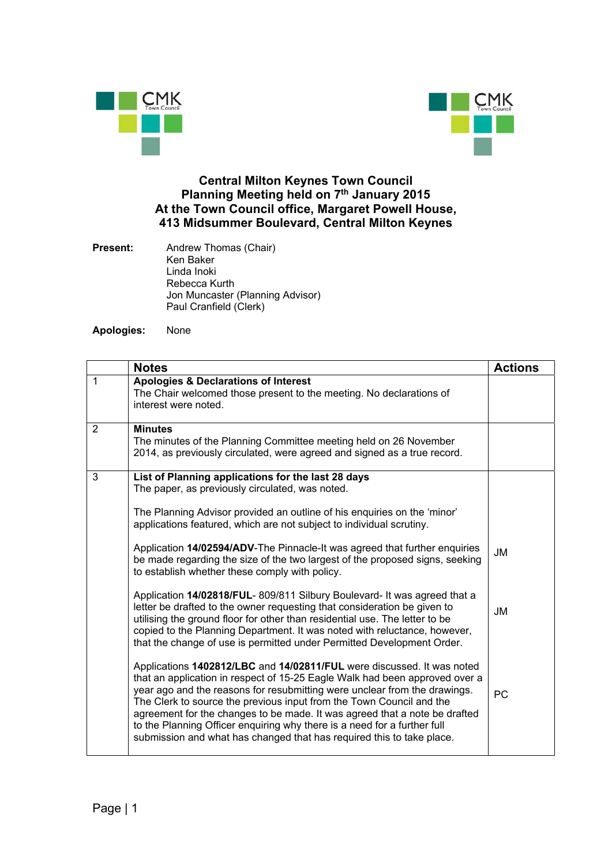



## **Central Milton Keynes Town Council Planning Meeting held on 7th January 2015 At the Town Council office, Margaret Powell House, 413 Midsummer Boulevard, Central Milton Keynes**

| Present: | Andrew Thomas (Chair)            |
|----------|----------------------------------|
|          | Ken Baker                        |
|          | Linda Inoki                      |
|          | Rebecca Kurth                    |
|          | Jon Muncaster (Planning Advisor) |
|          | Paul Cranfield (Clerk)           |

**Apologies:** None

|   | <b>Notes</b>                                                                                                                                                                                                                                                                                                                                                                                                                                                                                                                                  | <b>Actions</b> |
|---|-----------------------------------------------------------------------------------------------------------------------------------------------------------------------------------------------------------------------------------------------------------------------------------------------------------------------------------------------------------------------------------------------------------------------------------------------------------------------------------------------------------------------------------------------|----------------|
| 1 | <b>Apologies &amp; Declarations of Interest</b><br>The Chair welcomed those present to the meeting. No declarations of<br>interest were noted.                                                                                                                                                                                                                                                                                                                                                                                                |                |
| 2 | <b>Minutes</b><br>The minutes of the Planning Committee meeting held on 26 November<br>2014, as previously circulated, were agreed and signed as a true record.                                                                                                                                                                                                                                                                                                                                                                               |                |
| 3 | List of Planning applications for the last 28 days<br>The paper, as previously circulated, was noted.                                                                                                                                                                                                                                                                                                                                                                                                                                         |                |
|   | The Planning Advisor provided an outline of his enquiries on the 'minor'<br>applications featured, which are not subject to individual scrutiny.                                                                                                                                                                                                                                                                                                                                                                                              |                |
|   | Application 14/02594/ADV-The Pinnacle-It was agreed that further enquiries<br>be made regarding the size of the two largest of the proposed signs, seeking<br>to establish whether these comply with policy.                                                                                                                                                                                                                                                                                                                                  | JM             |
|   | Application 14/02818/FUL-809/811 Silbury Boulevard- It was agreed that a<br>letter be drafted to the owner requesting that consideration be given to<br>utilising the ground floor for other than residential use. The letter to be<br>copied to the Planning Department. It was noted with reluctance, however,<br>that the change of use is permitted under Permitted Development Order.                                                                                                                                                    | JM             |
|   | Applications 1402812/LBC and 14/02811/FUL were discussed. It was noted<br>that an application in respect of 15-25 Eagle Walk had been approved over a<br>year ago and the reasons for resubmitting were unclear from the drawings.<br>The Clerk to source the previous input from the Town Council and the<br>agreement for the changes to be made. It was agreed that a note be drafted<br>to the Planning Officer enquiring why there is a need for a further full<br>submission and what has changed that has required this to take place. | PC             |